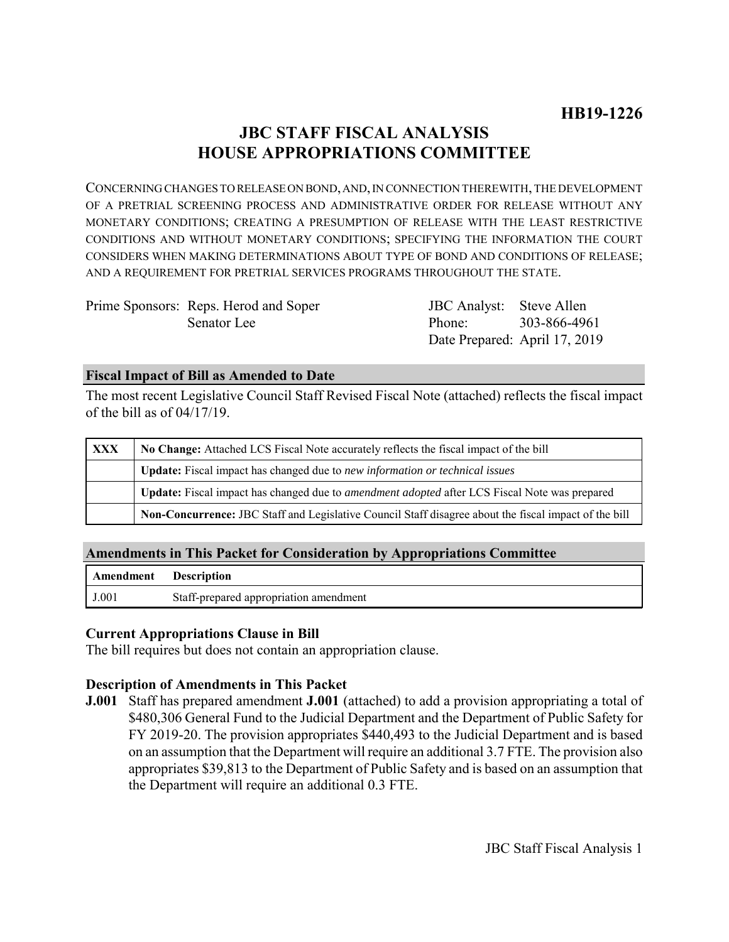# **JBC STAFF FISCAL ANALYSIS HOUSE APPROPRIATIONS COMMITTEE**

CONCERNING CHANGES TO RELEASE ON BOND, AND, IN CONNECTION THEREWITH, THE DEVELOPMENT OF A PRETRIAL SCREENING PROCESS AND ADMINISTRATIVE ORDER FOR RELEASE WITHOUT ANY MONETARY CONDITIONS; CREATING A PRESUMPTION OF RELEASE WITH THE LEAST RESTRICTIVE CONDITIONS AND WITHOUT MONETARY CONDITIONS; SPECIFYING THE INFORMATION THE COURT CONSIDERS WHEN MAKING DETERMINATIONS ABOUT TYPE OF BOND AND CONDITIONS OF RELEASE; AND A REQUIREMENT FOR PRETRIAL SERVICES PROGRAMS THROUGHOUT THE STATE.

| Prime Sponsors: Reps. Herod and Soper | JBC Analyst: Steve Allen      |  |
|---------------------------------------|-------------------------------|--|
| Senator Lee                           | Phone: 303-866-4961           |  |
|                                       | Date Prepared: April 17, 2019 |  |

### **Fiscal Impact of Bill as Amended to Date**

The most recent Legislative Council Staff Revised Fiscal Note (attached) reflects the fiscal impact of the bill as of 04/17/19.

| <b>XXX</b> | No Change: Attached LCS Fiscal Note accurately reflects the fiscal impact of the bill                 |  |
|------------|-------------------------------------------------------------------------------------------------------|--|
|            | <b>Update:</b> Fiscal impact has changed due to new information or technical issues                   |  |
|            | Update: Fiscal impact has changed due to <i>amendment adopted</i> after LCS Fiscal Note was prepared  |  |
|            | Non-Concurrence: JBC Staff and Legislative Council Staff disagree about the fiscal impact of the bill |  |

# **Amendments in This Packet for Consideration by Appropriations Committee**

| <b>Amendment</b> Description |                                        |
|------------------------------|----------------------------------------|
| J.001                        | Staff-prepared appropriation amendment |

## **Current Appropriations Clause in Bill**

The bill requires but does not contain an appropriation clause.

#### **Description of Amendments in This Packet**

**J.001** Staff has prepared amendment **J.001** (attached) to add a provision appropriating a total of \$480,306 General Fund to the Judicial Department and the Department of Public Safety for FY 2019-20. The provision appropriates \$440,493 to the Judicial Department and is based on an assumption that the Department will require an additional 3.7 FTE. The provision also appropriates \$39,813 to the Department of Public Safety and is based on an assumption that the Department will require an additional 0.3 FTE.